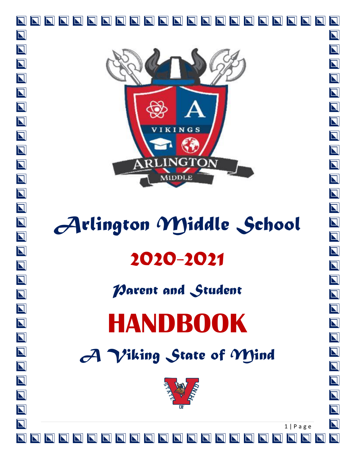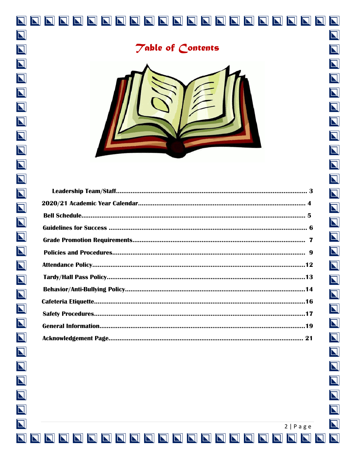

 $\overline{\mathbf{N}}$ 

 $\overline{\mathbf{N}}$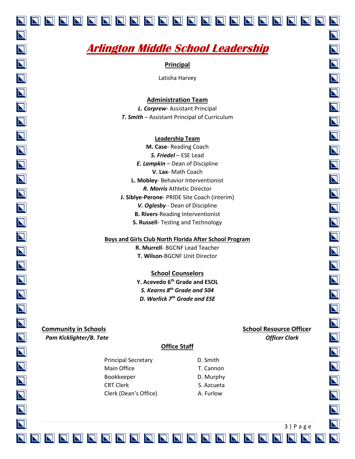# **Arlington Middle School Leadership**

**Principal**

Latisha Harvey

**Administration Team**

*L. Corprew*- Assistant Principal *T. Smith* – Assistant Principal of Curriculum

#### **Leadership Team**

**M. Case**- Reading Coach *S. Friedel* – ESE Lead *E. Lampkin* – Dean of Discipline **V. Lax**- Math Coach **L. Mobley**- Behavior Interventionist *R. Morris* Athletic Director **J. Siblye-Perone**- PRIDE Site Coach (interim) *V. Oglesby* - Dean of Discipline **B. Rivers**-Reading Interventionist **S. Russell**- Testing and Technology

#### **Boys and Girls Club North Florida After School Program**

**R. Murrell**- BGCNF Lead Teacher **T. Wilson**-BGCNF Unit Director

#### **School Counselors**

**Y. Acevedo 6 th Grade and ESOL** *S. Kearns 8 th Grade and 504 D. Warlick 7th Grade and ESE*

**Community in Schools Community in Schools** *Pam Kicklighter/B. Tate*  $\blacksquare$  *Pam Kicklighter/B. Tate*  $\blacksquare$ 

#### **Office Staff**

Principal Secretary **D.** Smith Main Office T. Cannon Bookkeeper D. Murphy CRT Clerk S. Azcueta Clerk (Dean's Office) A. Furlow

3 | P a g e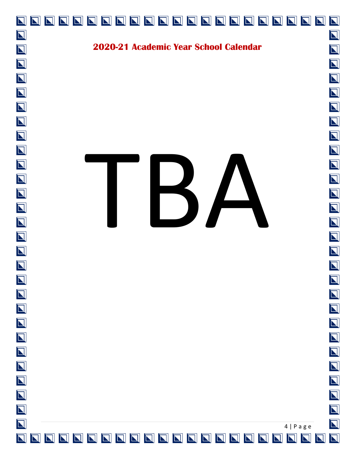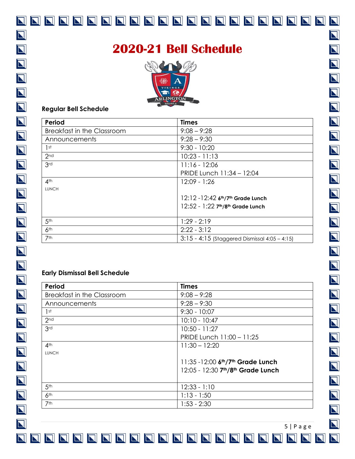### **2020-21 Bell Schedule** いっしょう (チ) **2LINGTON Regular Bell Schedule Period Times** Breakfast in the Classroom 9:08 – 9:28 Announcements 9:28 – 9:30 1st 9:30 - 10:20 2nd 10:23 - 11:13 3rd 11:16 - 12:06 PRIDE Lunch 11:34 – 12:04 4th 12:09 - 1:26 LUNCH 12:12 -12:42 **6 th/7th Grade Lunch** 12:52 - 1:22 **7 th/8th Grade Lunch**  5th 1:29 - 2:19 6<sup>th</sup> 2:22 - 3:12 7th 3:15 - 4:15 (Staggered Dismissal 4:05 – 4:15) **Early Dismissal Bell Schedule Period Times** Breakfast in the Classroom 9:08 – 9:28 Announcements 9:28 – 9:30 1st 9:30 - 10:07

| Period                            | <b>Times</b>                      |
|-----------------------------------|-----------------------------------|
| <b>Breakfast in the Classroom</b> | $9:08 - 9:28$                     |
| Announcements                     | $9:28 - 9:30$                     |
| 1 <sup>st</sup>                   | $9:30 - 10:07$                    |
| 2 <sub>nd</sub>                   | $10:10 - 10:47$                   |
| 3 <sub>rd</sub>                   | $10:50 - 11:27$                   |
|                                   | PRIDE Lunch 11:00 - 11:25         |
| 4 <sup>th</sup>                   | $11:30 - 12:20$                   |
| <b>LUNCH</b>                      |                                   |
|                                   | 11:35 -12:00 6th/7th Grade Lunch  |
|                                   | 12:05 - 12:30 7th/8th Grade Lunch |
|                                   |                                   |
| 5 <sup>th</sup>                   | $12:33 - 1:10$                    |
| 6 <sup>th</sup>                   | $1:13 - 1:50$                     |
| 7th                               | $1:53 - 2:30$                     |

5 | P a g e

 $|\mathbf{z}|$ 

 $|\nabla|$ 

 $|\mathbf{N}|$ 

 $\overline{\bf N}$ 

 $\overline{\bm{\Sigma}}$ 

 $\overline{\mathbf{N}}$ 

 $\overline{\bm{\mathsf{N}}}$ 

 $\overline{\mathbf{N}}$ 

 $\overline{\mathbf{N}}$ 

 $\overline{\bm{\mathsf{N}}}$ 

 $\overline{\bm{\mathsf{N}}}$ 

 $\overline{\mathbf{N}}$ 

 $\overline{\mathbf{N}}$ 

 $\overline{\bm{\mathsf{N}}}$ 

 $\overline{\mathbf{N}}$ 

 $\overline{\mathbf{N}}$ 

 $\overline{\blacksquare}$ 

 $\overline{\bm{\nabla}}$ 

 $\overline{\mathbf{N}}$ 

 $\overline{\mathbf{N}}$ 

 $\overline{\mathbf{N}}$ 

 $\overline{\mathbf{N}}$ 

 $\overline{\bf N}$ 

 $\nabla$ 

 $\overline{\mathbf{N}}$ 

 $\overline{\bf N}$ 

 $\overline{\blacksquare}$ 

 $\overline{\bf N}$ 

 $|\mathbf{\Sigma}|$ 

 $\overline{\mathbf{N}}$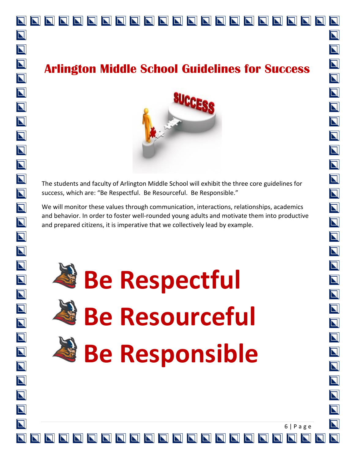# 

# **Arlington Middle School Guidelines for Success**



The students and faculty of Arlington Middle School will exhibit the three core guidelines for success, which are: "Be Respectful. Be Resourceful. Be Responsible."

We will monitor these values through communication, interactions, relationships, academics and behavior. In order to foster well-rounded young adults and motivate them into productive and prepared citizens, it is imperative that we collectively lead by example.



N

 $\overline{\bf N}$ 

 $\overline{\mathbf{N}}$ 

 $\overline{\mathbf{N}}$ 

 $\overline{\mathbf{N}}$ 

 $\overline{\mathbf{N}}$ 

 $\overline{\mathbf{N}}$ 

 $\overline{\mathbf{N}}$ 

 $\overline{\mathbf{N}}$ 

 $\overline{\mathbf{N}}$ 

 $\overline{\mathbf{N}}$ 

 $\overline{\mathbf{N}}$ 

 $\overline{\mathbf{N}}$ 

 $\overline{\mathbf{N}}$ 

 $\overline{\mathbf{N}}$ 

 $\overline{\mathbf{N}}$ 

 $\overline{\mathbf{N}}$ 

 $\overline{\mathbf{N}}$ 

 $\overline{\bf N}$ 

 $\overline{\bf N}$ 

 $\overline{\mathbf{N}}$ 

 $\overline{\bf N}$ 

 $\overline{\mathbf{N}}$ 

 $\overline{\mathbf{N}}$ 

 $\overline{\mathbf{N}}$ 

 $\overline{\blacksquare}$ 

 $\overline{\bm{\mathsf{N}}}$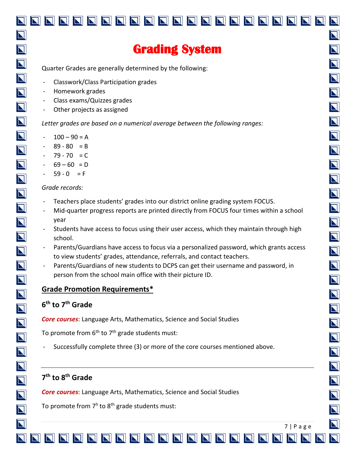# **Grading System**

Quarter Grades are generally determined by the following:

- Classwork/Class Participation grades
- Homework grades
- Class exams/Quizzes grades
- Other projects as assigned

*Letter grades are based on a numerical average between the following ranges:*

- $100 90 = A$
- $89 80 = B$
- $79 70 = C$
- $-69 60 = D$
- $59 0 = F$

#### *Grade records:*

- Teachers place students' grades into our district online grading system FOCUS.
- Mid-quarter progress reports are printed directly from FOCUS four times within a school year
- Students have access to focus using their user access, which they maintain through high school.
- Parents/Guardians have access to focus via a personalized password, which grants access to view students' grades, attendance, referrals, and contact teachers.
- Parents/Guardians of new students to DCPS can get their username and password, in person from the school main office with their picture ID.

#### **Grade Promotion Requirements\***

#### **6 th to 7th Grade**

*Core courses*: Language Arts, Mathematics, Science and Social Studies

To promote from  $6<sup>th</sup>$  to  $7<sup>th</sup>$  grade students must:

- Successfully complete three (3) or more of the core courses mentioned above.

#### **7 th to 8th Grade**

*Core courses*: Language Arts, Mathematics, Science and Social Studies

To promote from 7<sup>h</sup> to 8<sup>th</sup> grade students must: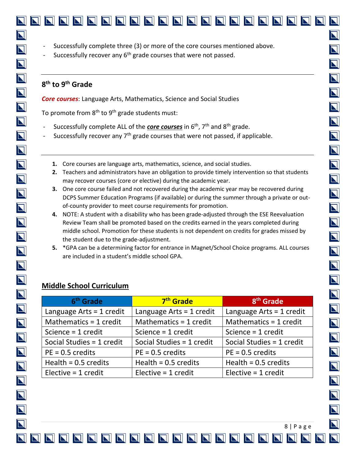Successfully recover any 6<sup>th</sup> grade courses that were not passed.

#### **8 th to 9th Grade**

*Core courses*: Language Arts, Mathematics, Science and Social Studies

To promote from  $8<sup>th</sup>$  to  $9<sup>th</sup>$  grade students must:

- Successfully complete ALL of the **core courses** in 6<sup>th</sup>, 7<sup>th</sup> and 8<sup>th</sup> grade.
- Successfully recover any 7<sup>th</sup> grade courses that were not passed, if applicable.
	- **1.** Core courses are language arts, mathematics, science, and social studies.
	- **2.** Teachers and administrators have an obligation to provide timely intervention so that students may recover courses (core or elective) during the academic year.
	- **3.** One core course failed and not recovered during the academic year may be recovered during DCPS Summer Education Programs (if available) or during the summer through a private or outof-county provider to meet course requirements for promotion.
	- **4.** NOTE: A student with a disability who has been grade-adjusted through the ESE Reevaluation Review Team shall be promoted based on the credits earned in the years completed during middle school. Promotion for these students is not dependent on credits for grades missed by the student due to the grade-adjustment.
	- **5.** \*GPA can be a determining factor for entrance in Magnet/School Choice programs. ALL courses are included in a student's middle school GPA.

#### **Middle School Curriculum**

| 6 <sup>th</sup> Grade      | 7 <sup>th</sup> Grade      | 8 <sup>th</sup> Grade      |
|----------------------------|----------------------------|----------------------------|
| Language Arts = $1$ credit | Language Arts = $1$ credit | Language Arts = $1$ credit |
| Mathematics = 1 credit     | Mathematics = 1 credit     | Mathematics = 1 credit     |
| Science = $1$ credit       | Science = 1 credit         | Science = $1$ credit       |
| Social Studies = 1 credit  | Social Studies = 1 credit  | Social Studies = 1 credit  |
| $PE = 0.5$ credits         | $PE = 0.5$ credits         | $PE = 0.5$ credits         |
| Health = $0.5$ credits     | Health = $0.5$ credits     | Health = $0.5$ credits     |
| Elective $=$ 1 credit      | Elective $=$ 1 credit      | Elective = $1$ credit      |

 $\overline{\mathbf{N}}$ 

 $\blacksquare$ 

 $\overline{\mathbf{N}}$ 

 $\overline{\mathbf{N}}$ 

 $\overline{\mathbf{N}}$ 

 $\overline{\mathbf{N}}$ 

 $\overline{\mathbf{N}}$ 

 $\overline{\bm{\mathsf{N}}}$ 

 $\overline{\mathbf{N}}$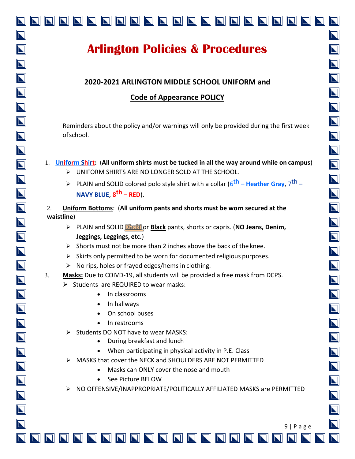# 

# **Arlington Policies & Procedures**

#### **2020-2021 ARLINGTON MIDDLE SCHOOL UNIFORM and**

### **Code of Appearance POLICY**

Reminders about the policy and/or warnings will only be provided during the first week ofschool.

#### 1. **Uniform Shirt:** (**All uniform shirts must be tucked in all the way around while on campus**)

- ➢ UNIFORM SHIRTS ARE NO LONGER SOLD AT THE SCHOOL.
- > PLAIN and SOLID colored polo style shirt with a collar ( $6^{th}$  Heather Gray, 7<sup>th</sup> **NAVY BLUE**, **8 th – RED**).
- 2. **Uniform Bottoms**: (**All uniform pants and shorts must be worn secured at the waistline**)
	- ➢ PLAIN and SOLID **Khaki** or **Black** pants, shorts or capris. (**NO Jeans, Denim, Jeggings, Leggings, etc.**)
	- $\triangleright$  Shorts must not be more than 2 inches above the back of the knee.
	- $\triangleright$  Skirts only permitted to be worn for documented religious purposes.
	- $\triangleright$  No rips, holes or frayed edges/hems in clothing.
- 3. **Masks:** Due to COIVD-19, all students will be provided a free mask from DCPS.
	- ➢ Students are REQUIRED to wear masks:
		- In classrooms
		- In hallways
		- On school buses
		- In restrooms
	- ➢ Students DO NOT have to wear MASKS:
		- During breakfast and lunch
		- When participating in physical activity in P.E. Class
	- ➢ MASKS that cover the NECK and SHOULDERS ARE NOT PERMITTED
		- Masks can ONLY cover the nose and mouth
		- See Picture BELOW
	- ➢ NO OFFENSIVE/INAPPROPRIATE/POLITICALLY AFFILIATED MASKS are PERMITTED

9 | P a g e

 $\overline{\bf N}$  $\overline{\bf N}$ NNNNNNNNNNNNNNNNNNN

N

 $\overline{\bf N}$ 

 $\overline{\bf N}$ 

 $\overline{\bf N}$ 

 $\overline{\bm{\mathsf{N}}}$ 

 $\overline{\mathbf{N}}$ 

 $\overline{\mathbf{N}}$ 

 $\overline{\mathbf{N}}$ 

 $\overline{\mathbf{N}}$ 

 $\overline{\mathbf{N}}$ 

 $\overline{\mathbf{N}}$ 

 $\overline{\mathbf{N}}$ 

 $\overline{\mathbf{N}}$ 

 $\overline{\mathbf{N}}$ 

 $\overline{\bf N}$ 

 $\overline{\mathbf{N}}$ 

 $\overline{\mathbf{N}}$ 

 $\overline{\mathbf{N}}$ 

 $\overline{\mathbf{N}}$ 

 $\overline{\bm{\mathsf{N}}}$ 

 $\overline{\mathbf{N}}$ 

 $\overline{\bm{\mathsf{N}}}$ 

 $\overline{\mathbf{N}}$ 

 $\overline{\mathbf{N}}$ 

 $\overline{\bm{\mathsf{N}}}$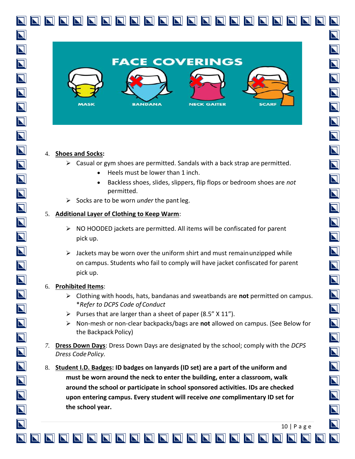

#### 4. **Shoes and Socks:**

- $\triangleright$  Casual or gym shoes are permitted. Sandals with a back strap are permitted.
	- Heels must be lower than 1 inch.
	- Backless shoes, slides, slippers, flip flops or bedroom shoes are *not* permitted.
- ➢ Socks are to be worn *under* the pantleg.

#### 5. **Additional Layer of Clothing to Keep Warm**:

- ➢ NO HOODED jackets are permitted. All items will be confiscated for parent pick up.
- $\triangleright$  Jackets may be worn over the uniform shirt and must remain unzipped while on campus. Students who fail to comply will have jacket confiscated for parent pick up.

#### 6. **Prohibited Items**:

- ➢ Clothing with hoods, hats, bandanas and sweatbands are **not** permitted on campus. \**Refer to DCPS Code of Conduct*
- $\triangleright$  Purses that are larger than a sheet of paper (8.5"  $\times$  11").
- ➢ Non-mesh or non-clear backpacks/bags are **not** allowed on campus. (See Below for the Backpack Policy)
- *7.* **Dress Down Days**: Dress Down Days are designated by the school; comply with the *DCPS*  **Dress Code Policy.**
- 8. **Student I.D. Badges: ID badges on lanyards (ID set) are a part of the uniform and must be worn around the neck to enter the building, enter a classroom, walk around the school or participate in school sponsored activities. IDs are checked upon entering campus. Every student will receive** *one* **complimentary ID set for the school year.**

10 | P a g e

 $\overline{\bf N}$ 

 $\overline{\bf N}$ 

 $\overline{\mathbf{N}}$ 

 $\overline{\mathbf{N}}$ 

 $\overline{\bm{\mathsf{N}}}$ 

 $\overline{\mathbf{N}}$ 

 $\overline{\mathbf{N}}$ 

 $\overline{\mathbf{N}}$ 

 $\overline{\mathbf{N}}$ 

 $\overline{\mathbf{N}}$ 

 $\overline{\mathbf{N}}$ 

 $\overline{\mathbf{N}}$ 

 $\overline{\blacksquare}$ 

 $\overline{\mathbf{N}}$ 

 $\overline{\mathbf{N}}$ 

 $\blacksquare$ 

 $\overline{\mathbf{N}}$ 

 $\overline{\mathbf{N}}$ 

 $\overline{\mathbf{N}}$ 

 $\overline{\mathbf{N}}$ 

 $\overline{\mathbf{N}}$ 

 $\overline{\bf N}$ 

 $\overline{\bm{\mathsf{N}}}$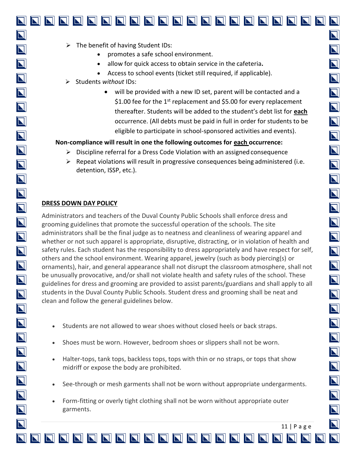$\overline{\mathbf{N}}$ 

 $\overline{\mathbf{N}}$ 

 $\overline{\mathbf{N}}$ 

 $\overline{\mathbf{N}}$ 

 $\overline{\mathbf{N}}$ 

 $\overline{\mathbf{N}}$ 

 $\overline{\mathbf{N}}$ 

 $\overline{\mathbf{N}}$ 

 $\overline{\mathbf{N}}$ 

 $\overline{\mathbf{N}}$ 

 $\overline{\mathbf{N}}$ 

 $\overline{\mathbf{N}}$ 

 $\overline{\blacksquare}$ 

 $\overline{\mathbf{N}}$ 

 $\overline{\mathbf{N}}$ 

 $\overline{\mathbf{N}}$ 

 $\overline{\mathbf{N}}$ 

 $\overline{\mathbf{N}}$ 

 $\overline{\mathbf{N}}$ 

 $\overline{\mathbf{N}}$ 

 $\overline{\mathbf{N}}$ 

 $\overline{\mathbf{N}}$ 

 $\overline{\bm{\mathsf{N}}}$ 

 $\overline{\mathbf{N}}$ 

 $\overline{\mathbf{N}}$ 

 $\overline{\mathbf{N}}$ 

 $\overline{\bf N}$ 

 $\boldsymbol{\nabla}$ 

- Access to school events (ticket still required, if applicable).
- ➢ Students *without* IDs:
	- will be provided with a new ID set, parent will be contacted and a \$1.00 fee for the 1<sup>st</sup> replacement and \$5.00 for every replacement thereafter. Students will be added to the student's debt list for **each**  occurrence. (All debts must be paid in full in order for students to be eligible to participate in school-sponsored activities and events).

#### **Non-compliance will result in one the following outcomes for each occurrence:**

- $\triangleright$  Discipline referral for a Dress Code Violation with an assigned consequence
- $\triangleright$  Repeat violations will result in progressive consequences being administered (i.e. detention, ISSP, etc.).

#### **DRESS DOWN DAY POLICY**

Administrators and teachers of the Duval County Public Schools shall enforce dress and grooming guidelines that promote the successful operation of the schools. The site administrators shall be the final judge as to neatness and cleanliness of wearing apparel and whether or not such apparel is appropriate, disruptive, distracting, or in violation of health and safety rules. Each student has the responsibility to dress appropriately and have respect for self, others and the school environment. Wearing apparel, jewelry (such as body piercing(s) or ornaments), hair, and general appearance shall not disrupt the classroom atmosphere, shall not be unusually provocative, and/or shall not violate health and safety rules of the school. These guidelines for dress and grooming are provided to assist parents/guardians and shall apply to all students in the Duval County Public Schools. Student dress and grooming shall be neat and clean and follow the general guidelines below.

- Students are not allowed to wear shoes without closed heels or back straps.
- Shoes must be worn. However, bedroom shoes or slippers shall not be worn.
- Halter-tops, tank tops, backless tops, tops with thin or no straps, or tops that show midriff or expose the body are prohibited.
- See-through or mesh garments shall not be worn without appropriate undergarments.
- Form-fitting or overly tight clothing shall not be worn without appropriate outer garments.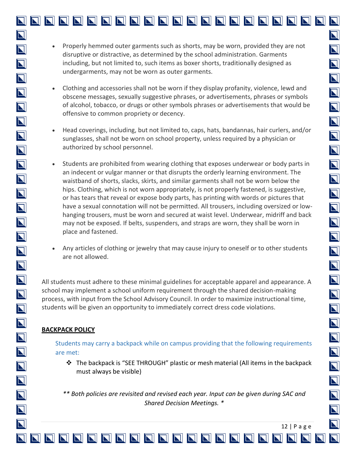- Clothing and accessories shall not be worn if they display profanity, violence, lewd and obscene messages, sexually suggestive phrases, or advertisements, phrases or symbols of alcohol, tobacco, or drugs or other symbols phrases or advertisements that would be offensive to common propriety or decency.
- Head coverings, including, but not limited to, caps, hats, bandannas, hair curlers, and/or sunglasses, shall not be worn on school property, unless required by a physician or authorized by school personnel.
- Students are prohibited from wearing clothing that exposes underwear or body parts in an indecent or vulgar manner or that disrupts the orderly learning environment. The waistband of shorts, slacks, skirts, and similar garments shall not be worn below the hips. Clothing, which is not worn appropriately, is not properly fastened, is suggestive, or has tears that reveal or expose body parts, has printing with words or pictures that have a sexual connotation will not be permitted. All trousers, including oversized or lowhanging trousers, must be worn and secured at waist level. Underwear, midriff and back may not be exposed. If belts, suspenders, and straps are worn, they shall be worn in place and fastened.
- Any articles of clothing or jewelry that may cause injury to oneself or to other students are not allowed.

All students must adhere to these minimal guidelines for acceptable apparel and appearance. A school may implement a school uniform requirement through the shared decision-making process, with input from the School Advisory Council. In order to maximize instructional time, students will be given an opportunity to immediately correct dress code violations.

#### **BACKPACK POLICY**

 $\overline{\mathbf{N}}$ 

 $\overline{\mathbf{N}}$ 

 $\overline{\mathbf{N}}$ 

 $\overline{\mathbf{N}}$ 

 $\overline{\mathbf{N}}$ 

 $\overline{\mathbf{N}}$ 

 $\overline{\mathbf{N}}$ 

 $\overline{\mathbf{N}}$ 

 $\overline{\mathbf{N}}$ 

 $\overline{\mathbf{N}}$ 

 $\overline{\mathbf{N}}$ 

 $\overline{\mathbf{N}}$ 

 $\overline{\mathbf{N}}$ 

 $\overline{\mathbf{N}}$ 

 $\overline{\mathbf{N}}$ 

 $\overline{\mathbf{N}}$ 

 $\overline{\mathbf{N}}$ 

 $\overline{\mathbf{N}}$ 

 $\overline{\mathbf{N}}$ 

 $\overline{\mathbf{N}}$ 

 $\overline{\mathbf{N}}$ 

 $\overline{\mathbf{N}}$ 

 $\overline{\mathbf{N}}$ 

 $\overline{\mathbf{N}}$ 

 $\overline{\mathbf{N}}$ 

 $\overline{\mathbf{N}}$ 

 $\overline{\mathbf{N}}$ 

 $\boldsymbol{\nabla}$ 

Students may carry a backpack while on campus providing that the following requirements are met:

❖ The backpack is "SEE THROUGH" plastic or mesh material (All items in the backpack must always be visible)

*\*\* Both policies are revisited and revised each year. Input can be given during SAC and Shared Decision Meetings. \**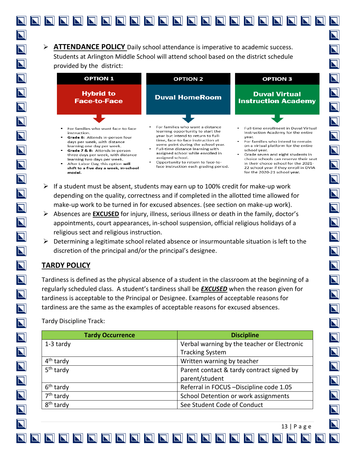➢ **ATTENDANCE POLICY** Daily school attendance is imperative to academic success. Students at Arlington Middle School will attend school based on the district schedule provided by the district:

| <b>OPTION 1</b>                                                                                                                                                                                                                                                                                                                                    | <b>OPTION 2</b>                                                                                                                                                                                                                                                                                                                                                   | <b>OPTION 3</b>                                                                                                                                                                                                                                                                                                                                                                         |
|----------------------------------------------------------------------------------------------------------------------------------------------------------------------------------------------------------------------------------------------------------------------------------------------------------------------------------------------------|-------------------------------------------------------------------------------------------------------------------------------------------------------------------------------------------------------------------------------------------------------------------------------------------------------------------------------------------------------------------|-----------------------------------------------------------------------------------------------------------------------------------------------------------------------------------------------------------------------------------------------------------------------------------------------------------------------------------------------------------------------------------------|
| <b>Hybrid to</b><br><b>Face-to-Face</b>                                                                                                                                                                                                                                                                                                            | <b>Duval HomeRoom</b>                                                                                                                                                                                                                                                                                                                                             | <b>Duval Virtual</b><br><b>Instruction Academy</b>                                                                                                                                                                                                                                                                                                                                      |
| For families who want face-to-face<br>instruction.<br>Grade 6: Attends in-person four<br>days per week, with distance<br>learning one day per week.<br>Grade 7 & 8: Attends in-person<br>three days per week, with distance<br>learning two days per week.<br>After Labor Day, this option will<br>shift to a five day a week, in-school<br>model. | For families who want a distance<br>learning opportunity to start the<br>year but intend to return to full-<br>time, face-to-face instruction at<br>some point during the school year.<br>Full-time distance learning with<br>assigned school while enrolled in<br>assigned school.<br>Opportunity to return to face-to-<br>face instruction each grading period. | <b>Full-time enrollment in Duval Virtual</b><br>Instruction Academy for the entire<br>year.<br>For families who intend to remain<br>on a virtual platform for the entire<br>school year.<br>Grade seven and eight students in<br>choice schools can reserve their seat<br>in their choice school for the 2021-<br>22 school year if they enroll in DVIA<br>for the 2020-21 school year. |

- $\triangleright$  If a student must be absent, students may earn up to 100% credit for make-up work depending on the quality, correctness and if completed in the allotted time allowed for make-up work to be turned in for excused absences. (see section on make-up work).
- ➢ Absences are **EXCUSED** for injury, illness, serious illness or death in the family, doctor's appointments, court appearances, in-school suspension, official religious holidays of a religious sect and religious instruction.
- $\triangleright$  Determining a legitimate school related absence or insurmountable situation is left to the discretion of the principal and/or the principal's designee.

#### **TARDY POLICY**

Tardiness is defined as the physical absence of a student in the classroom at the beginning of a regularly scheduled class. A student's tardiness shall be *EXCUSED* when the reason given for tardiness is acceptable to the Principal or Designee. Examples of acceptable reasons for tardiness are the same as the examples of acceptable reasons for excused absences.

Tardy Discipline Track:

| <b>Tardy Occurrence</b> | <b>Discipline</b>                           |
|-------------------------|---------------------------------------------|
| 1-3 tardy               | Verbal warning by the teacher or Electronic |
|                         | <b>Tracking System</b>                      |
| 4 <sup>th</sup> tardy   | Written warning by teacher                  |
| 5 <sup>th</sup> tardy   | Parent contact & tardy contract signed by   |
|                         | parent/student                              |
| 6 <sup>th</sup> tardy   | Referral in FOCUS -Discipline code 1.05     |
| 7 <sup>th</sup> tardy   | School Detention or work assignments        |
| 8 <sup>th</sup> tardy   | See Student Code of Conduct                 |

13 | P a g e

 $\blacksquare$ 

 $\overline{\mathbf{N}}$ 

 $\overline{\bf N}$ 

 $\overline{\mathbf{N}}$ 

 $\overline{\mathbf{N}}$ 

 $\overline{\mathbf{N}}$ 

 $\overline{\mathbf{N}}$ 

 $\overline{\mathbf{N}}$ 

 $\overline{\mathbf{N}}$ 

 $\overline{\mathbf{N}}$ 

 $\overline{\mathbf{N}}$ 

 $\overline{\mathbf{N}}$ 

 $\overline{\blacksquare}$ 

 $\overline{\mathbf{N}}$ 

 $\overline{\bf N}$ 

 $\overline{\textbf{N}}$ 

 $|\nabla|$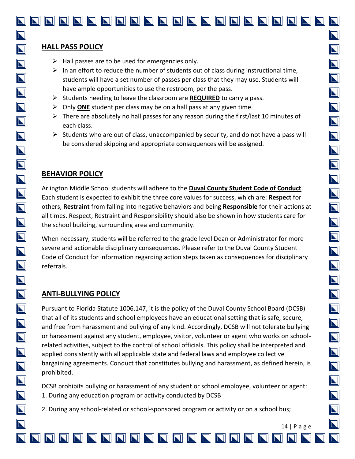$\overline{\mathbf{N}}$ 

 $\overline{\mathbf{N}}$ 

 $\overline{\mathbf{N}}$ 

 $\overline{\mathbf{N}}$ 

 $\overline{\mathbf{N}}$ 

 $\overline{\mathbf{N}}$ 

 $\overline{\mathbf{N}}$ 

 $\overline{\mathbf{N}}$ 

 $\overline{\mathbf{N}}$ 

 $\overline{\mathbf{N}}$ 

 $\overline{\mathbf{N}}$ 

 $\overline{\mathbf{N}}$ 

 $\overline{\mathbf{N}}$ 

 $\overline{\mathbf{N}}$ 

 $\overline{\mathbf{N}}$ 

 $\overline{\mathbf{N}}$ 

 $\overline{\mathbf{N}}$ 

 $\overline{\mathbf{N}}$ 

 $\overline{\mathbf{N}}$ 

 $\overline{\mathbf{N}}$ 

 $\overline{\mathbf{N}}$ 

 $\overline{\mathbf{N}}$ 

 $\overline{\mathbf{N}}$ 

 $\overline{\mathbf{N}}$ 

 $\overline{\mathbf{N}}$ 

#### **HALL PASS POLICY**

- $\triangleright$  Hall passes are to be used for emergencies only.
- $\triangleright$  In an effort to reduce the number of students out of class during instructional time, students will have a set number of passes per class that they may use. Students will have ample opportunities to use the restroom, per the pass.
- ➢ Students needing to leave the classroom are **REQUIRED** to carry a pass.
- ➢ Only **ONE** student per class may be on a hall pass at any given time.
- $\triangleright$  There are absolutely no hall passes for any reason during the first/last 10 minutes of each class.
- $\triangleright$  Students who are out of class, unaccompanied by security, and do not have a pass will be considered skipping and appropriate consequences will be assigned.

#### **BEHAVIOR POLICY**

Arlington Middle School students will adhere to the **Duval County Student Code of Conduct**. Each student is expected to exhibit the three core values for success, which are: **Respect** for others, **Restraint** from falling into negative behaviors and being **Responsible** for their actions at all times. Respect, Restraint and Responsibility should also be shown in how students care for the school building, surrounding area and community.

When necessary, students will be referred to the grade level Dean or Administrator for more severe and actionable disciplinary consequences. Please refer to the Duval County Student Code of Conduct for information regarding action steps taken as consequences for disciplinary referrals.

#### **ANTI-BULLYING POLICY**

Pursuant to Florida Statute 1006.147, it is the policy of the Duval County School Board (DCSB) that all of its students and school employees have an educational setting that is safe, secure, and free from harassment and bullying of any kind. Accordingly, DCSB will not tolerate bullying or harassment against any student, employee, visitor, volunteer or agent who works on schoolrelated activities, subject to the control of school officials. This policy shall be interpreted and applied consistently with all applicable state and federal laws and employee collective bargaining agreements. Conduct that constitutes bullying and harassment, as defined herein, is prohibited.

DCSB prohibits bullying or harassment of any student or school employee, volunteer or agent: 1. During any education program or activity conducted by DCSB

2. During any school-related or school-sponsored program or activity or on a school bus;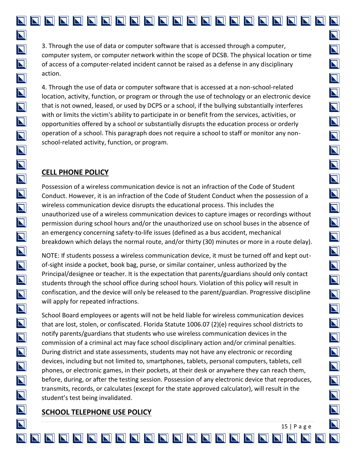3. Through the use of data or computer software that is accessed through a computer, computer system, or computer network within the scope of DCSB. The physical location or time of access of a computer-related incident cannot be raised as a defense in any disciplinary action.

4. Through the use of data or computer software that is accessed at a non-school-related location, activity, function, or program or through the use of technology or an electronic device that is not owned, leased, or used by DCPS or a school, if the bullying substantially interferes with or limits the victim's ability to participate in or benefit from the services, activities, or opportunities offered by a school or substantially disrupts the education process or orderly operation of a school. This paragraph does not require a school to staff or monitor any nonschool-related activity, function, or program.

#### **CELL PHONE POLICY**

Possession of a wireless communication device is not an infraction of the Code of Student Conduct. However, it is an infraction of the Code of Student Conduct when the possession of a wireless communication device disrupts the educational process. This includes the unauthorized use of a wireless communication devices to capture images or recordings without permission during school hours and/or the unauthorized use on school buses in the absence of an emergency concerning safety-to-life issues (defined as a bus accident, mechanical breakdown which delays the normal route, and/or thirty (30) minutes or more in a route delay).

NOTE: If students possess a wireless communication device, it must be turned off and kept outof-sight inside a pocket, book bag, purse, or similar container, unless authorized by the Principal/designee or teacher. It is the expectation that parents/guardians should only contact students through the school office during school hours. Violation of this policy will result in confiscation, and the device will only be released to the parent/guardian. Progressive discipline will apply for repeated infractions.

School Board employees or agents will not be held liable for wireless communication devices that are lost, stolen, or confiscated. Florida Statute 1006.07 (2)(e) requires school districts to notify parents/guardians that students who use wireless communication devices in the commission of a criminal act may face school disciplinary action and/or criminal penalties. During district and state assessments, students may not have any electronic or recording devices, including but not limited to, smartphones, tablets, personal computers, tablets, cell phones, or electronic games, in their pockets, at their desk or anywhere they can reach them, before, during, or after the testing session. Possession of any electronic device that reproduces, transmits, records, or calculates (except for the state approved calculator), will result in the student's test being invalidated.

#### **SCHOOL TELEPHONE USE POLICY**

 $\overline{\mathbf{N}}$ 

 $\overline{\mathbf{N}}$ 

 $\overline{\bf N}$ 

 $\overline{\mathbf{N}}$ 

 $\overline{\bm{\mathsf{N}}}$ 

 $\overline{\mathbf{N}}$ 

 $\overline{\blacksquare}$ 

 $\overline{\mathbf{N}}$ 

 $\overline{\bm{\mathsf{N}}}$ 

 $\overline{\mathbf{N}}$ 

 $\overline{\mathbf{N}}$ 

 $\overline{\mathbf{N}}$ 

 $\blacksquare$ 

 $\blacksquare$ 

 $\overline{\mathbf{N}}$ 

 $\overline{\mathbf{N}}$ 

 $\overline{\mathbf{N}}$ 

 $\overline{\mathbf{N}}$ 

 $\overline{\mathbf{N}}$ 

 $\blacksquare$ 

 $\overline{\mathbf{N}}$ 

 $\overline{\mathbf{N}}$ 

 $\overline{\mathbf{N}}$ 

 $\overline{\mathbf{N}}$ 

 $\overline{\mathbf{N}}$ 

 $\overline{\bm{\mathsf{N}}}$ 

 $\boldsymbol{\nabla}$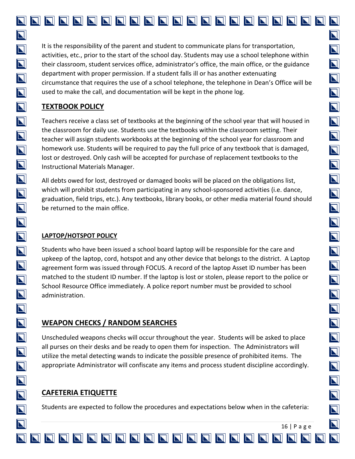It is the responsibility of the parent and student to communicate plans for transportation, activities, etc., prior to the start of the school day. Students may use a school telephone within their classroom, student services office, administrator's office, the main office, or the guidance department with proper permission. If a student falls ill or has another extenuating circumstance that requires the use of a school telephone, the telephone in Dean's Office will be used to make the call, and documentation will be kept in the phone log.

#### **TEXTBOOK POLICY**

 $\overline{\mathbf{N}}$ 

 $\overline{\mathbf{N}}$ 

 $\overline{\mathbf{N}}$ 

 $\overline{\mathbf{N}}$ 

 $\overline{\mathbf{N}}$ 

 $\overline{\mathbf{N}}$ 

 $\overline{\mathbf{N}}$ 

 $\overline{\mathbf{N}}$ 

 $\overline{\mathbf{N}}$ 

 $\overline{\mathbf{N}}$ 

 $\overline{\mathbf{N}}$ 

 $\overline{\mathbf{N}}$ 

 $\overline{\mathbf{N}}$ 

 $\overline{\mathbf{N}}$ 

 $\overline{\mathbf{N}}$ 

 $\overline{\mathbf{N}}$ 

 $\overline{\mathbf{N}}$ 

 $\overline{\mathbf{N}}$ 

 $\overline{\mathbf{N}}$ 

 $\overline{\mathbf{N}}$ 

 $\overline{\mathbf{N}}$ 

 $\overline{\bm{\mathsf{N}}}$ 

 $\overline{\mathbf{N}}$ 

 $\overline{\mathbf{N}}$ 

 $\overline{\mathbf{N}}$ 

 $\overline{\mathbf{N}}$ 

 $\overline{\bf N}$ 

Teachers receive a class set of textbooks at the beginning of the school year that will housed in the classroom for daily use. Students use the textbooks within the classroom setting. Their teacher will assign students workbooks at the beginning of the school year for classroom and homework use. Students will be required to pay the full price of any textbook that is damaged, lost or destroyed. Only cash will be accepted for purchase of replacement textbooks to the Instructional Materials Manager.

All debts owed for lost, destroyed or damaged books will be placed on the obligations list, which will prohibit students from participating in any school-sponsored activities (i.e. dance, graduation, field trips, etc.). Any textbooks, library books, or other media material found should be returned to the main office.

#### **LAPTOP/HOTSPOT POLICY**

Students who have been issued a school board laptop will be responsible for the care and upkeep of the laptop, cord, hotspot and any other device that belongs to the district. A Laptop agreement form was issued through FOCUS. A record of the laptop Asset ID number has been matched to the student ID number. If the laptop is lost or stolen, please report to the police or School Resource Office immediately. A police report number must be provided to school administration.

#### **WEAPON CHECKS / RANDOM SEARCHES**

Unscheduled weapons checks will occur throughout the year. Students will be asked to place all purses on their desks and be ready to open them for inspection. The Administrators will utilize the metal detecting wands to indicate the possible presence of prohibited items. The appropriate Administrator will confiscate any items and process student discipline accordingly.

#### **CAFETERIA ETIQUETTE**

Students are expected to follow the procedures and expectations below when in the cafeteria:

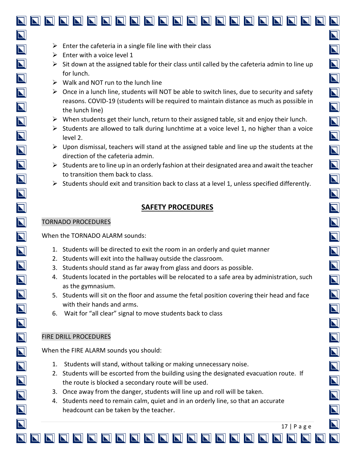$\triangleright$  Enter with a voice level 1

 $\overline{\mathbf{N}}$ 

 $\overline{\mathbf{N}}$ 

 $\overline{\mathbf{N}}$ 

 $\overline{\mathbf{N}}$ 

 $\overline{\mathbf{N}}$ 

 $\overline{\blacksquare}$ 

 $\overline{\mathbf{N}}$ 

 $\overline{\mathbf{N}}$ 

 $\overline{\mathbf{N}}$ 

 $\overline{\mathbf{N}}$ 

 $\overline{\mathbf{N}}$ 

 $\overline{\blacksquare}$ 

 $\overline{\mathbf{N}}$ 

 $\overline{\mathbf{N}}$ 

 $\overline{\mathbf{N}}$ 

 $\overline{\mathbf{N}}$ 

 $\overline{\mathbf{N}}$ 

 $\overline{\mathbf{N}}$ 

 $\overline{\mathbf{N}}$ 

 $\overline{\mathbf{N}}$ 

 $\overline{\mathbf{N}}$ 

 $\overline{\bm{\mathsf{N}}}$ 

 $\overline{\blacksquare}$ 

 $\overline{\mathbf{N}}$ 

 $\overline{\mathbf{N}}$ 

 $\overline{\mathbf{N}}$ 

 $\blacksquare$ 

- $\triangleright$  Sit down at the assigned table for their class until called by the cafeteria admin to line up for lunch.
- $\triangleright$  Walk and NOT run to the lunch line
- $\triangleright$  Once in a lunch line, students will NOT be able to switch lines, due to security and safety reasons. COVID-19 (students will be required to maintain distance as much as possible in the lunch line)
- $\triangleright$  When students get their lunch, return to their assigned table, sit and enjoy their lunch.
- $\triangleright$  Students are allowed to talk during lunchtime at a voice level 1, no higher than a voice level 2.
- $\triangleright$  Upon dismissal, teachers will stand at the assigned table and line up the students at the direction of the cafeteria admin.
- $\triangleright$  Students are to line up in an orderly fashion at their designated area and await the teacher to transition them back to class.
- $\triangleright$  Students should exit and transition back to class at a level 1, unless specified differently.

#### **SAFETY PROCEDURES**

#### TORNADO PROCEDURES

When the TORNADO ALARM sounds:

- 1. Students will be directed to exit the room in an orderly and quiet manner
- 2. Students will exit into the hallway outside the classroom.
- 3. Students should stand as far away from glass and doors as possible.
- 4. Students located in the portables will be relocated to a safe area by administration, such as the gymnasium.
- 5. Students will sit on the floor and assume the fetal position covering their head and face with their hands and arms.
- 6. Wait for "all clear" signal to move students back to class

#### FIRE DRILL PROCEDURES

When the FIRE ALARM sounds you should:

- 1. Students will stand, without talking or making unnecessary noise.
- 2. Students will be escorted from the building using the designated evacuation route. If the route is blocked a secondary route will be used.
- 3. Once away from the danger, students will line up and roll will be taken.
- 4. Students need to remain calm, quiet and in an orderly line, so that an accurate headcount can be taken by the teacher.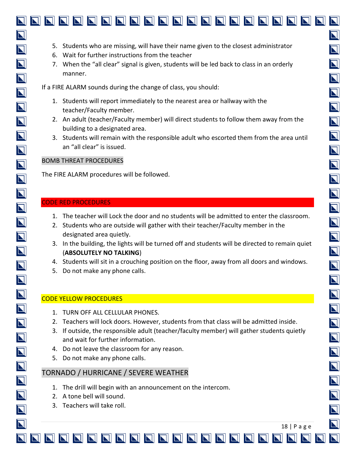- 6. Wait for further instructions from the teacher
- 7. When the "all clear" signal is given, students will be led back to class in an orderly manner.

If a FIRE ALARM sounds during the change of class, you should:

- 1. Students will report immediately to the nearest area or hallway with the teacher/Faculty member.
- 2. An adult (teacher/Faculty member) will direct students to follow them away from the building to a designated area.
- 3. Students will remain with the responsible adult who escorted them from the area until an "all clear" is issued.

#### BOMB THREAT PROCEDURES

The FIRE ALARM procedures will be followed.

#### CODE RED PROCEDURES

- 1. The teacher will Lock the door and no students will be admitted to enter the classroom.
- 2. Students who are outside will gather with their teacher/Faculty member in the designated area quietly.
- 3. In the building, the lights will be turned off and students will be directed to remain quiet (**ABSOLUTELY NO TALKING**)
- 4. Students will sit in a crouching position on the floor, away from all doors and windows.
- 5. Do not make any phone calls.

#### CODE YELLOW PROCEDURES

- 1. TURN OFF ALL CELLULAR PHONES.
- 2. Teachers will lock doors. However, students from that class will be admitted inside.
- 3. If outside, the responsible adult (teacher/faculty member) will gather students quietly and wait for further information.

18 | P a g e

 $\overline{\bf N}$ 

 $\overline{\mathbf{N}}$ 

 $\overline{\bm{\mathsf{N}}}$ 

 $\overline{\bm{\mathsf{N}}}$ 

 $\overline{\mathbf{N}}$ 

 $\overline{\mathbf{N}}$ 

 $\overline{\mathbf{N}}$ 

 $\overline{\mathbf{N}}$ 

 $\overline{\mathbf{N}}$ 

 $\overline{\mathbf{N}}$ 

 $\overline{\bm{\mathsf{N}}}$ 

 $\overline{\blacksquare}$ 

 $\overline{\mathbf{N}}$ 

 $\overline{\mathbf{N}}$ 

 $\overline{\mathbf{N}}$ 

 $\overline{\mathbf{N}}$ 

 $\blacksquare$ 

 $\overline{\mathbf{N}}$ 

 $\overline{\mathbf{N}}$ 

 $\overline{\mathbf{N}}$ 

 $\overline{\mathbf{N}}$ 

 $\overline{\mathbf{N}}$ 

 $\overline{\bf N}$ 

- 4. Do not leave the classroom for any reason.
- 5. Do not make any phone calls.

#### TORNADO / HURRICANE / SEVERE WEATHER

- 1. The drill will begin with an announcement on the intercom.
- 2. A tone bell will sound.
- 3. Teachers will take roll.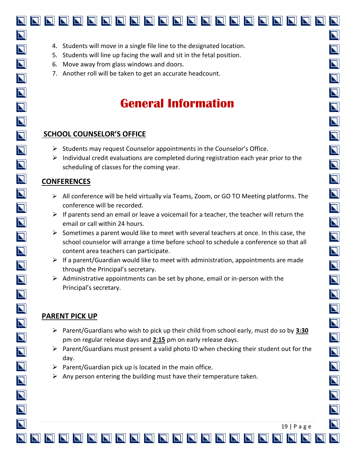- 5. Students will line up facing the wall and sit in the fetal position.
- 6. Move away from glass windows and doors.
- 7. Another roll will be taken to get an accurate headcount.

### **General Information**

#### **SCHOOL COUNSELOR'S OFFICE**

- ➢ Students may request Counselor appointments in the Counselor's Office.
- $\triangleright$  Individual credit evaluations are completed during registration each year prior to the scheduling of classes for the coming year.

#### **CONFERENCES**

- $\triangleright$  All conference will be held virtually via Teams, Zoom, or GO TO Meeting platforms. The conference will be recorded.
- $\triangleright$  If parents send an email or leave a voicemail for a teacher, the teacher will return the email or call within 24 hours.
- $\triangleright$  Sometimes a parent would like to meet with several teachers at once. In this case, the school counselor will arrange a time before school to schedule a conference so that all content area teachers can participate.
- $\triangleright$  If a parent/Guardian would like to meet with administration, appointments are made through the Principal's secretary.
- $\triangleright$  Administrative appointments can be set by phone, email or in-person with the Principal's secretary.

#### **PARENT PICK UP**

- ➢ Parent/Guardians who wish to pick up their child from school early, must do so by **3:30** pm on regular release days and **2:15** pm on early release days.
- $\triangleright$  Parent/Guardians must present a valid photo ID when checking their student out for the day.
- $\triangleright$  Parent/Guardian pick up is located in the main office.
- $\triangleright$  Any person entering the building must have their temperature taken.

N

 $\overline{\mathbf{N}}$ 

 $\overline{\mathbf{N}}$ 

 $\overline{\mathbf{N}}$ 

 $\overline{\mathbf{N}}$ 

 $\overline{\mathbf{N}}$ 

 $\overline{\mathbf{N}}$ 

 $\overline{\mathbf{N}}$ 

 $\overline{\mathbf{N}}$ 

 $\overline{\mathbf{N}}$ 

 $\overline{\blacksquare}$ 

 $\overline{\mathbf{N}}$ 

 $\overline{\mathbf{N}}$ 

 $\overline{\mathbf{N}}$ 

 $\overline{\mathbf{N}}$ 

 $\overline{\mathbf{N}}$ 

 $\blacksquare$ 

 $\blacksquare$ 

 $\overline{\mathbf{N}}$ 

 $\overline{\mathbf{N}}$ 

 $\overline{\bm{\mathsf{N}}}$ 

 $\boldsymbol{\nabla}$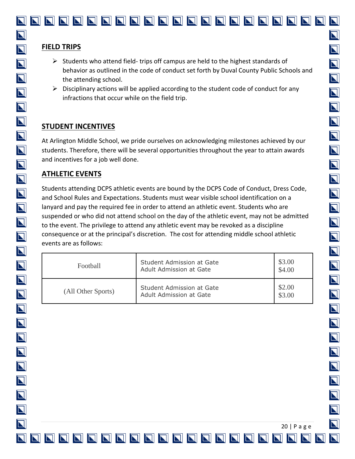#### **FIELD TRIPS**

- $\triangleright$  Students who attend field- trips off campus are held to the highest standards of behavior as outlined in the code of conduct set forth by Duval County Public Schools and the attending school.
- $\triangleright$  Disciplinary actions will be applied according to the student code of conduct for any infractions that occur while on the field trip.

#### **STUDENT INCENTIVES**

At Arlington Middle School, we pride ourselves on acknowledging milestones achieved by our students. Therefore, there will be several opportunities throughout the year to attain awards and incentives for a job well done.

#### **ATHLETIC EVENTS**

Students attending DCPS athletic events are bound by the DCPS Code of Conduct, Dress Code, and School Rules and Expectations. Students must wear visible school identification on a lanyard and pay the required fee in order to attend an athletic event. Students who are suspended or who did not attend school on the day of the athletic event, may not be admitted to the event. The privilege to attend any athletic event may be revoked as a discipline consequence or at the principal's discretion. The cost for attending middle school athletic events are as follows:

| Football           | Student Admission at Gate<br>Adult Admission at Gate | \$3.00<br>\$4.00 |
|--------------------|------------------------------------------------------|------------------|
| (All Other Sports) | Student Admission at Gate<br>Adult Admission at Gate | \$2.00<br>\$3.00 |